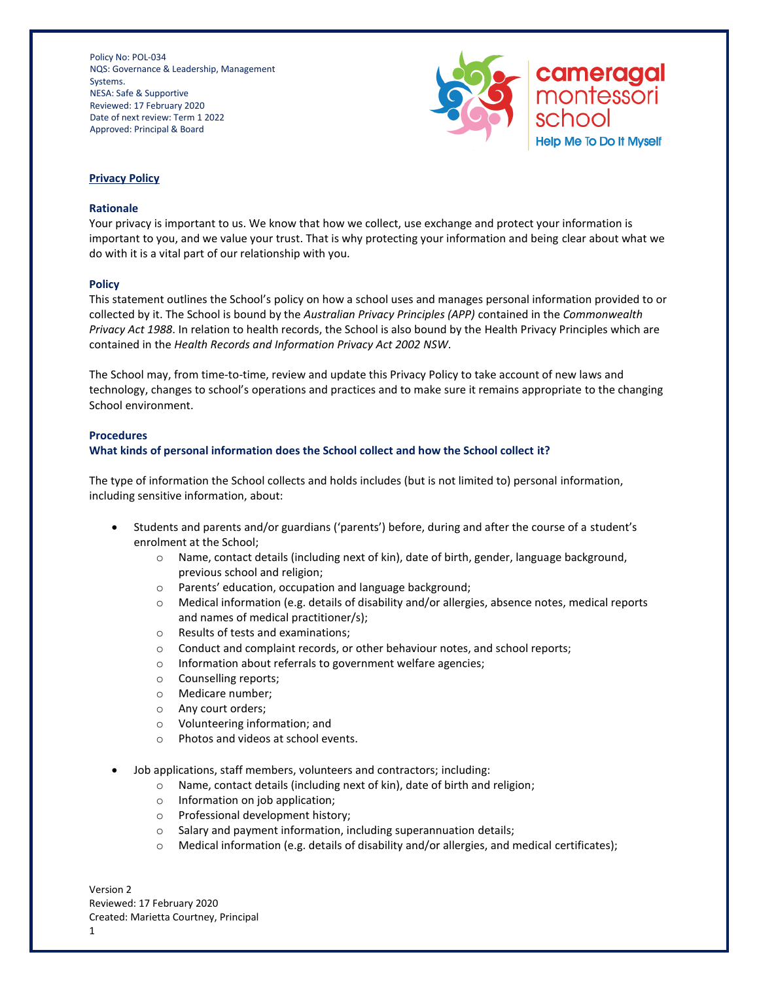

## **Privacy Policy**

## **Rationale**

Your privacy is important to us. We know that how we collect, use exchange and protect your information is important to you, and we value your trust. That is why protecting your information and being clear about what we do with it is a vital part of our relationship with you.

## **Policy**

This statement outlines the School's policy on how a school uses and manages personal information provided to or collected by it. The School is bound by the *Australian Privacy Principles (APP)* contained in the *Commonwealth Privacy Act 1988*. In relation to health records, the School is also bound by the Health Privacy Principles which are contained in the *Health Records and Information Privacy Act 2002 NSW*.

The School may, from time-to-time, review and update this Privacy Policy to take account of new laws and technology, changes to school's operations and practices and to make sure it remains appropriate to the changing School environment.

#### **Procedures**

# **What kinds of personal information does the School collect and how the School collect it?**

The type of information the School collects and holds includes (but is not limited to) personal information, including sensitive information, about:

- Students and parents and/or guardians ('parents') before, during and after the course of a student's enrolment at the School;
	- o Name, contact details (including next of kin), date of birth, gender, language background, previous school and religion;
	- o Parents' education, occupation and language background;
	- o Medical information (e.g. details of disability and/or allergies, absence notes, medical reports and names of medical practitioner/s);
	- o Results of tests and examinations;
	- o Conduct and complaint records, or other behaviour notes, and school reports;
	- o Information about referrals to government welfare agencies;
	- o Counselling reports;
	- o Medicare number;
	- o Any court orders;
	- o Volunteering information; and
	- o Photos and videos at school events.
- Job applications, staff members, volunteers and contractors; including:
	- o Name, contact details (including next of kin), date of birth and religion;
	- o Information on job application;
	- o Professional development history;
	- o Salary and payment information, including superannuation details;
	- o Medical information (e.g. details of disability and/or allergies, and medical certificates);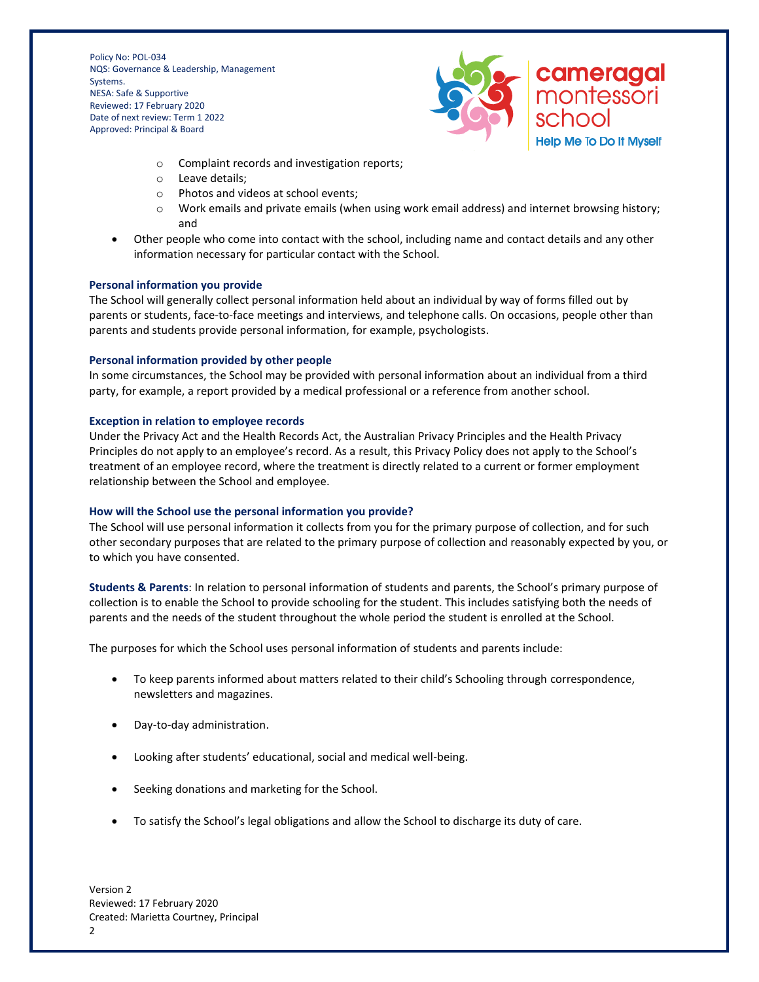

- o Complaint records and investigation reports;
- o Leave details;
- o Photos and videos at school events;
- $\circ$  Work emails and private emails (when using work email address) and internet browsing history; and
- Other people who come into contact with the school, including name and contact details and any other information necessary for particular contact with the School.

## **Personal information you provide**

The School will generally collect personal information held about an individual by way of forms filled out by parents or students, face-to-face meetings and interviews, and telephone calls. On occasions, people other than parents and students provide personal information, for example, psychologists.

## **Personal information provided by other people**

In some circumstances, the School may be provided with personal information about an individual from a third party, for example, a report provided by a medical professional or a reference from another school.

# **Exception in relation to employee records**

Under the Privacy Act and the Health Records Act, the Australian Privacy Principles and the Health Privacy Principles do not apply to an employee's record. As a result, this Privacy Policy does not apply to the School's treatment of an employee record, where the treatment is directly related to a current or former employment relationship between the School and employee.

# **How will the School use the personal information you provide?**

The School will use personal information it collects from you for the primary purpose of collection, and for such other secondary purposes that are related to the primary purpose of collection and reasonably expected by you, or to which you have consented.

**Students & Parents**: In relation to personal information of students and parents, the School's primary purpose of collection is to enable the School to provide schooling for the student. This includes satisfying both the needs of parents and the needs of the student throughout the whole period the student is enrolled at the School.

The purposes for which the School uses personal information of students and parents include:

- To keep parents informed about matters related to their child's Schooling through correspondence, newsletters and magazines.
- Day-to-day administration.
- Looking after students' educational, social and medical well-being.
- Seeking donations and marketing for the School.
- To satisfy the School's legal obligations and allow the School to discharge its duty of care.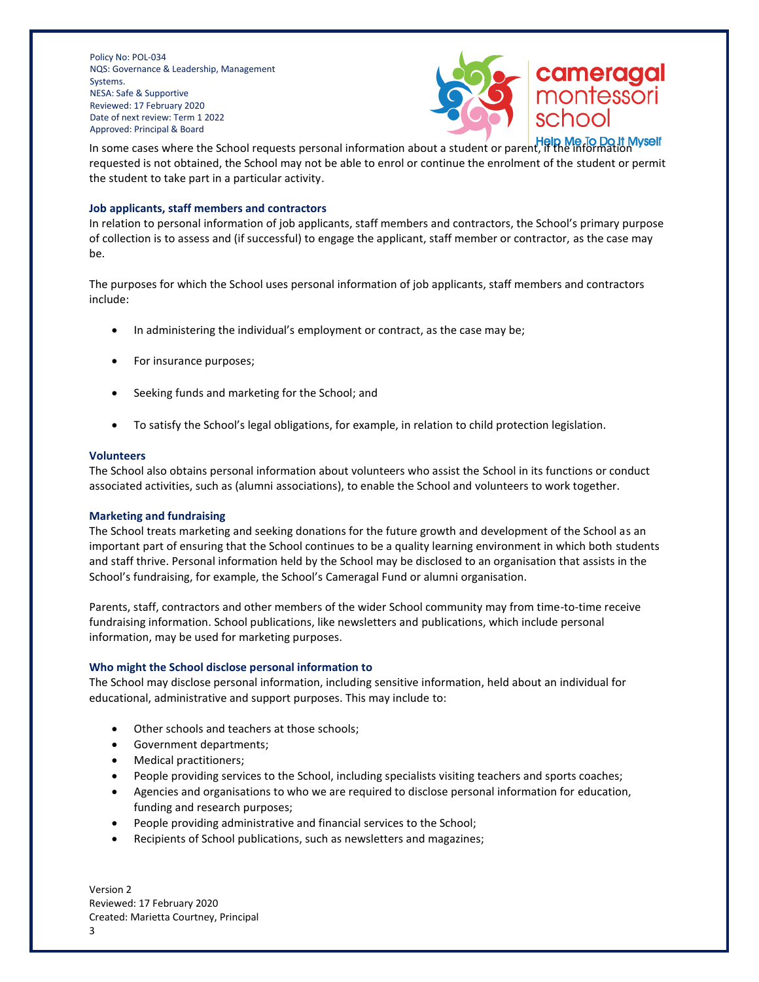

In some cases where the School requests personal information about a student or parent, if the information requested is not obtained, the School may not be able to enrol or continue the enrolment of the student or permit the student to take part in a particular activity.

## **Job applicants, staff members and contractors**

In relation to personal information of job applicants, staff members and contractors, the School's primary purpose of collection is to assess and (if successful) to engage the applicant, staff member or contractor, as the case may be.

The purposes for which the School uses personal information of job applicants, staff members and contractors include:

- In administering the individual's employment or contract, as the case may be;
- For insurance purposes;
- Seeking funds and marketing for the School; and
- To satisfy the School's legal obligations, for example, in relation to child protection legislation.

## **Volunteers**

The School also obtains personal information about volunteers who assist the School in its functions or conduct associated activities, such as (alumni associations), to enable the School and volunteers to work together.

## **Marketing and fundraising**

The School treats marketing and seeking donations for the future growth and development of the School as an important part of ensuring that the School continues to be a quality learning environment in which both students and staff thrive. Personal information held by the School may be disclosed to an organisation that assists in the School's fundraising, for example, the School's Cameragal Fund or alumni organisation.

Parents, staff, contractors and other members of the wider School community may from time-to-time receive fundraising information. School publications, like newsletters and publications, which include personal information, may be used for marketing purposes.

## **Who might the School disclose personal information to**

The School may disclose personal information, including sensitive information, held about an individual for educational, administrative and support purposes. This may include to:

- Other schools and teachers at those schools;
- Government departments;
- Medical practitioners;
- People providing services to the School, including specialists visiting teachers and sports coaches;
- Agencies and organisations to who we are required to disclose personal information for education, funding and research purposes;
- People providing administrative and financial services to the School;
- Recipients of School publications, such as newsletters and magazines;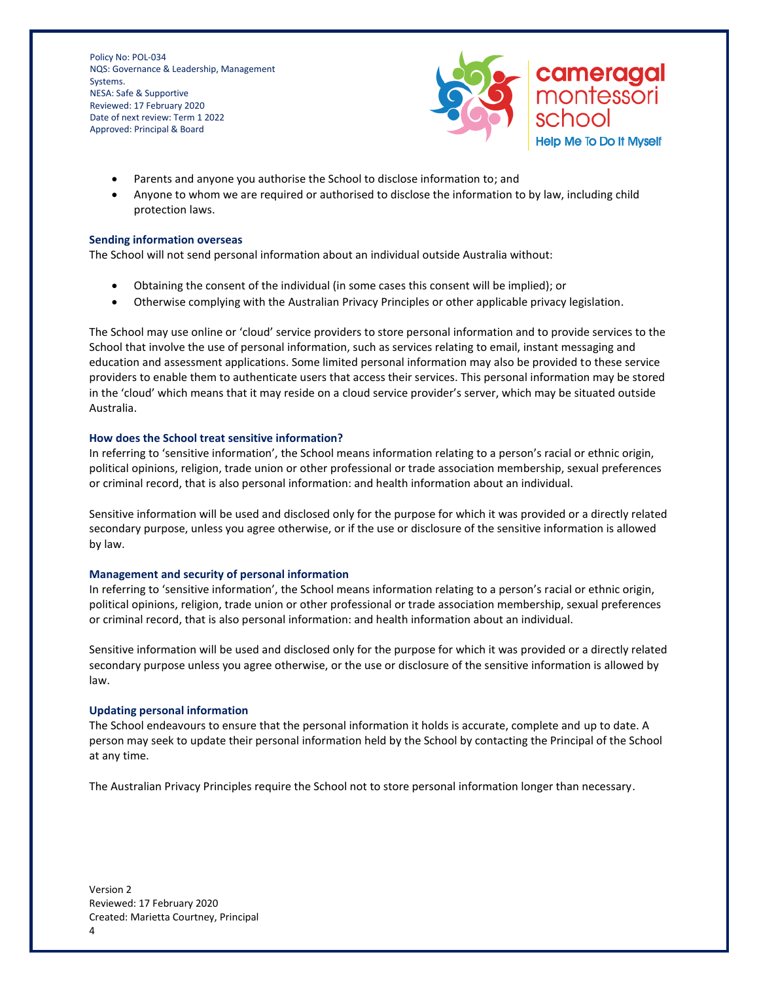

- Parents and anyone you authorise the School to disclose information to; and
- Anyone to whom we are required or authorised to disclose the information to by law, including child protection laws.

#### **Sending information overseas**

The School will not send personal information about an individual outside Australia without:

- Obtaining the consent of the individual (in some cases this consent will be implied); or
- Otherwise complying with the Australian Privacy Principles or other applicable privacy legislation.

The School may use online or 'cloud' service providers to store personal information and to provide services to the School that involve the use of personal information, such as services relating to email, instant messaging and education and assessment applications. Some limited personal information may also be provided to these service providers to enable them to authenticate users that access their services. This personal information may be stored in the 'cloud' which means that it may reside on a cloud service provider's server, which may be situated outside Australia.

#### **How does the School treat sensitive information?**

In referring to 'sensitive information', the School means information relating to a person's racial or ethnic origin, political opinions, religion, trade union or other professional or trade association membership, sexual preferences or criminal record, that is also personal information: and health information about an individual.

Sensitive information will be used and disclosed only for the purpose for which it was provided or a directly related secondary purpose, unless you agree otherwise, or if the use or disclosure of the sensitive information is allowed by law.

#### **Management and security of personal information**

In referring to 'sensitive information', the School means information relating to a person's racial or ethnic origin, political opinions, religion, trade union or other professional or trade association membership, sexual preferences or criminal record, that is also personal information: and health information about an individual.

Sensitive information will be used and disclosed only for the purpose for which it was provided or a directly related secondary purpose unless you agree otherwise, or the use or disclosure of the sensitive information is allowed by law.

#### **Updating personal information**

The School endeavours to ensure that the personal information it holds is accurate, complete and up to date. A person may seek to update their personal information held by the School by contacting the Principal of the School at any time.

The Australian Privacy Principles require the School not to store personal information longer than necessary.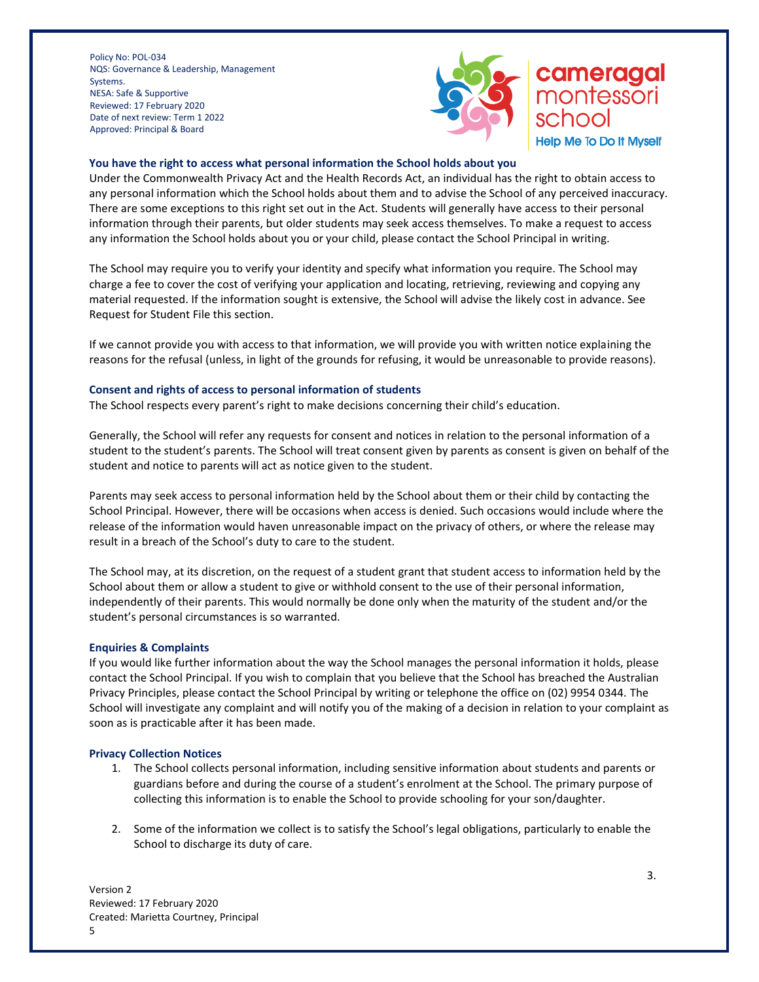

# cameragal montessori school

**Help Me To Do It Myself** 

# **You have the right to access what personal information the School holds about you**

Under the Commonwealth Privacy Act and the Health Records Act, an individual has the right to obtain access to any personal information which the School holds about them and to advise the School of any perceived inaccuracy. There are some exceptions to this right set out in the Act. Students will generally have access to their personal information through their parents, but older students may seek access themselves. To make a request to access any information the School holds about you or your child, please contact the School Principal in writing.

The School may require you to verify your identity and specify what information you require. The School may charge a fee to cover the cost of verifying your application and locating, retrieving, reviewing and copying any material requested. If the information sought is extensive, the School will advise the likely cost in advance. See Request for Student File this section.

If we cannot provide you with access to that information, we will provide you with written notice explaining the reasons for the refusal (unless, in light of the grounds for refusing, it would be unreasonable to provide reasons).

## **Consent and rights of access to personal information of students**

The School respects every parent's right to make decisions concerning their child's education.

Generally, the School will refer any requests for consent and notices in relation to the personal information of a student to the student's parents. The School will treat consent given by parents as consent is given on behalf of the student and notice to parents will act as notice given to the student.

Parents may seek access to personal information held by the School about them or their child by contacting the School Principal. However, there will be occasions when access is denied. Such occasions would include where the release of the information would haven unreasonable impact on the privacy of others, or where the release may result in a breach of the School's duty to care to the student.

The School may, at its discretion, on the request of a student grant that student access to information held by the School about them or allow a student to give or withhold consent to the use of their personal information, independently of their parents. This would normally be done only when the maturity of the student and/or the student's personal circumstances is so warranted.

## **Enquiries & Complaints**

If you would like further information about the way the School manages the personal information it holds, please contact the School Principal. If you wish to complain that you believe that the School has breached the Australian Privacy Principles, please contact the School Principal by writing or telephone the office on (02) 9954 0344. The School will investigate any complaint and will notify you of the making of a decision in relation to your complaint as soon as is practicable after it has been made.

## **Privacy Collection Notices**

- 1. The School collects personal information, including sensitive information about students and parents or guardians before and during the course of a student's enrolment at the School. The primary purpose of collecting this information is to enable the School to provide schooling for your son/daughter.
- 2. Some of the information we collect is to satisfy the School's legal obligations, particularly to enable the School to discharge its duty of care.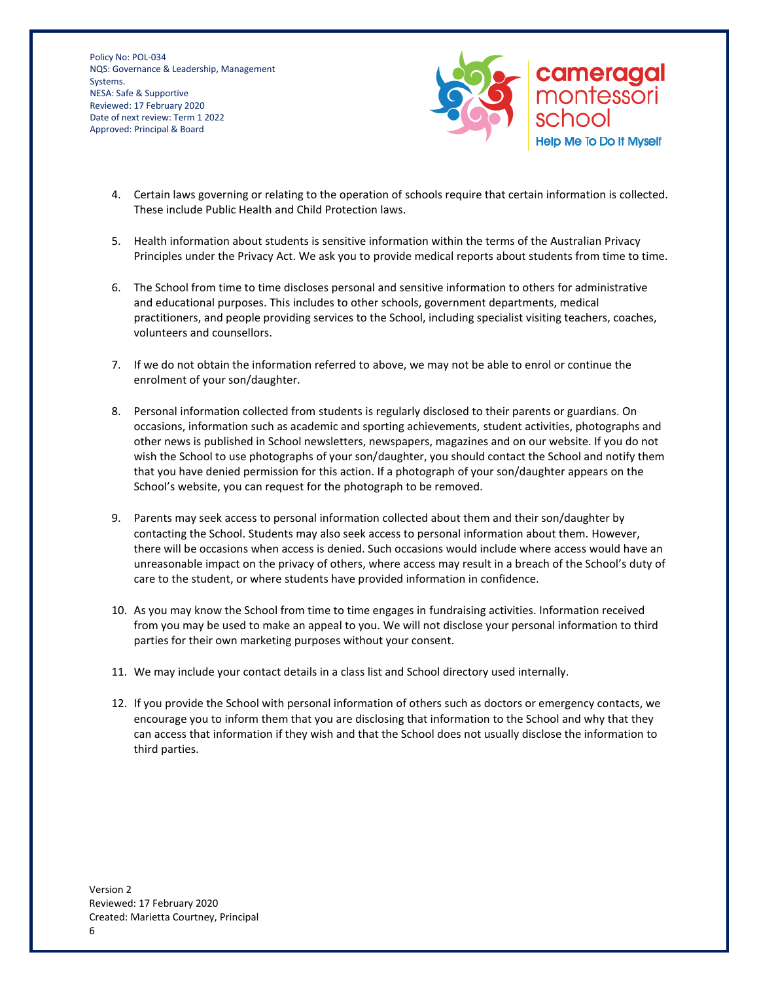

- 4. Certain laws governing or relating to the operation of schools require that certain information is collected. These include Public Health and Child Protection laws.
- 5. Health information about students is sensitive information within the terms of the Australian Privacy Principles under the Privacy Act. We ask you to provide medical reports about students from time to time.
- 6. The School from time to time discloses personal and sensitive information to others for administrative and educational purposes. This includes to other schools, government departments, medical practitioners, and people providing services to the School, including specialist visiting teachers, coaches, volunteers and counsellors.
- 7. If we do not obtain the information referred to above, we may not be able to enrol or continue the enrolment of your son/daughter.
- 8. Personal information collected from students is regularly disclosed to their parents or guardians. On occasions, information such as academic and sporting achievements, student activities, photographs and other news is published in School newsletters, newspapers, magazines and on our website. If you do not wish the School to use photographs of your son/daughter, you should contact the School and notify them that you have denied permission for this action. If a photograph of your son/daughter appears on the School's website, you can request for the photograph to be removed.
- 9. Parents may seek access to personal information collected about them and their son/daughter by contacting the School. Students may also seek access to personal information about them. However, there will be occasions when access is denied. Such occasions would include where access would have an unreasonable impact on the privacy of others, where access may result in a breach of the School's duty of care to the student, or where students have provided information in confidence.
- 10. As you may know the School from time to time engages in fundraising activities. Information received from you may be used to make an appeal to you. We will not disclose your personal information to third parties for their own marketing purposes without your consent.
- 11. We may include your contact details in a class list and School directory used internally.
- 12. If you provide the School with personal information of others such as doctors or emergency contacts, we encourage you to inform them that you are disclosing that information to the School and why that they can access that information if they wish and that the School does not usually disclose the information to third parties.